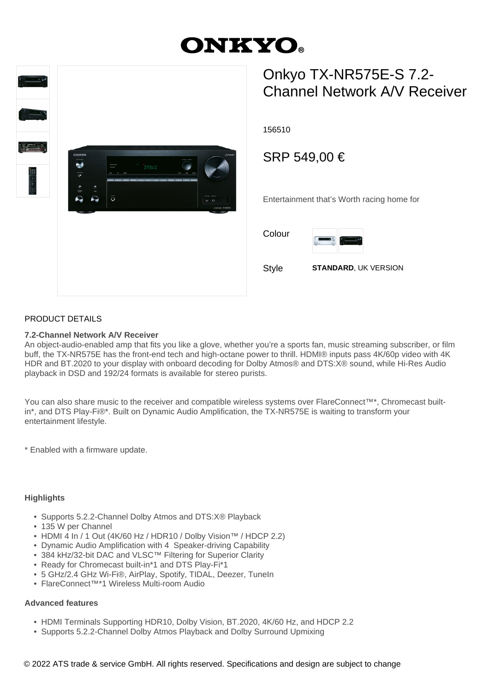# **ONKYO**



## Onkyo TX-NR575E-S 7.2- Channel Network A/V Receiver

156510

### SRP 549,00 €

Entertainment that's Worth racing home for

Colour



Style **STANDARD**, UK VERSION

#### PRODUCT DETAILS

#### **7.2-Channel Network A/V Receiver**

An object-audio-enabled amp that fits you like a glove, whether you're a sports fan, music streaming subscriber, or film buff, the TX-NR575E has the front-end tech and high-octane power to thrill. HDMI® inputs pass 4K/60p video with 4K HDR and BT.2020 to your display with onboard decoding for Dolby Atmos® and DTS:X® sound, while Hi-Res Audio playback in DSD and 192/24 formats is available for stereo purists.

You can also share music to the receiver and compatible wireless systems over FlareConnect™\*, Chromecast builtin\*, and DTS Play-Fi®\*. Built on Dynamic Audio Amplification, the TX-NR575E is waiting to transform your entertainment lifestyle.

\* Enabled with a firmware update.

#### **Highlights**

- Supports 5.2.2-Channel Dolby Atmos and DTS:X® Playback
- 135 W per Channel
- HDMI 4 In / 1 Out (4K/60 Hz / HDR10 / Dolby Vision™ / HDCP 2.2)
- Dynamic Audio Amplification with 4 Speaker-driving Capability
- 384 kHz/32-bit DAC and VLSC™ Filtering for Superior Clarity
- Ready for Chromecast built-in\*1 and DTS Play-Fi\*1
- 5 GHz/2.4 GHz Wi-Fi®, AirPlay, Spotify, TIDAL, Deezer, TuneIn
- FlareConnect™\*1 Wireless Multi-room Audio

#### **Advanced features**

- HDMI Terminals Supporting HDR10, Dolby Vision, BT.2020, 4K/60 Hz, and HDCP 2.2
- Supports 5.2.2-Channel Dolby Atmos Playback and Dolby Surround Upmixing